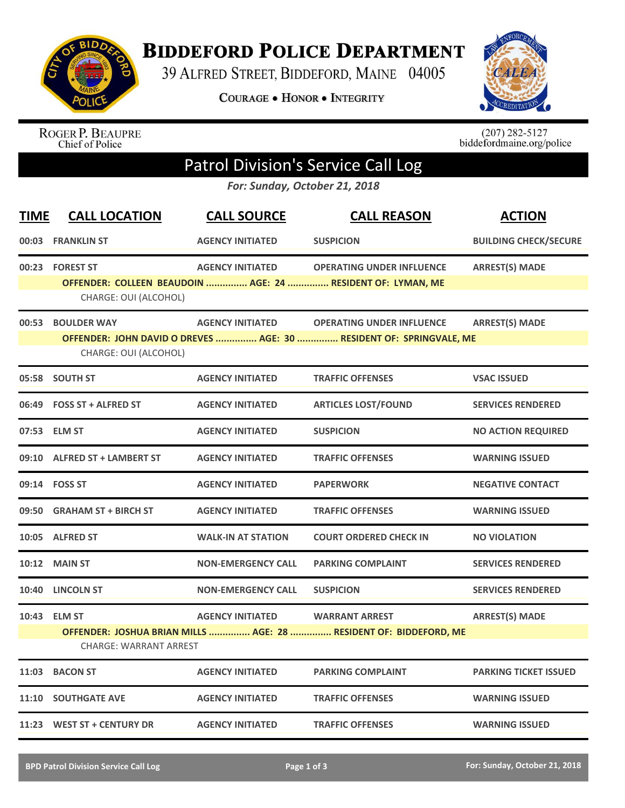

**BIDDEFORD POLICE DEPARTMENT** 

39 ALFRED STREET, BIDDEFORD, MAINE 04005

COURAGE . HONOR . INTEGRITY



ROGER P. BEAUPRE<br>Chief of Police

 $(207)$  282-5127<br>biddefordmaine.org/police

## Patrol Division's Service Call Log

*For: Sunday, October 21, 2018*

| <b>TIME</b> | <b>CALL LOCATION</b>          | <b>CALL SOURCE</b>        | <b>CALL REASON</b>                                                  | <b>ACTION</b>                |
|-------------|-------------------------------|---------------------------|---------------------------------------------------------------------|------------------------------|
|             | 00:03 FRANKLIN ST             | <b>AGENCY INITIATED</b>   | <b>SUSPICION</b>                                                    | <b>BUILDING CHECK/SECURE</b> |
|             | 00:23 FOREST ST               | <b>AGENCY INITIATED</b>   | <b>OPERATING UNDER INFLUENCE</b>                                    | <b>ARREST(S) MADE</b>        |
|             | CHARGE: OUI (ALCOHOL)         |                           | OFFENDER: COLLEEN BEAUDOIN  AGE: 24  RESIDENT OF: LYMAN, ME         |                              |
|             | 00:53 BOULDER WAY             | <b>AGENCY INITIATED</b>   | <b>OPERATING UNDER INFLUENCE</b>                                    | <b>ARREST(S) MADE</b>        |
|             | CHARGE: OUI (ALCOHOL)         |                           | OFFENDER: JOHN DAVID O DREVES  AGE: 30  RESIDENT OF: SPRINGVALE, ME |                              |
|             | 05:58 SOUTH ST                | <b>AGENCY INITIATED</b>   | <b>TRAFFIC OFFENSES</b>                                             | <b>VSAC ISSUED</b>           |
|             | 06:49 FOSS ST + ALFRED ST     | <b>AGENCY INITIATED</b>   | <b>ARTICLES LOST/FOUND</b>                                          | <b>SERVICES RENDERED</b>     |
|             | 07:53 ELM ST                  | <b>AGENCY INITIATED</b>   | <b>SUSPICION</b>                                                    | <b>NO ACTION REQUIRED</b>    |
|             | 09:10 ALFRED ST + LAMBERT ST  | <b>AGENCY INITIATED</b>   | <b>TRAFFIC OFFENSES</b>                                             | <b>WARNING ISSUED</b>        |
|             | 09:14 FOSS ST                 | <b>AGENCY INITIATED</b>   | <b>PAPERWORK</b>                                                    | <b>NEGATIVE CONTACT</b>      |
|             | 09:50 GRAHAM ST + BIRCH ST    | <b>AGENCY INITIATED</b>   | <b>TRAFFIC OFFENSES</b>                                             | <b>WARNING ISSUED</b>        |
|             | 10:05 ALFRED ST               | <b>WALK-IN AT STATION</b> | <b>COURT ORDERED CHECK IN</b>                                       | <b>NO VIOLATION</b>          |
|             | 10:12 MAIN ST                 | <b>NON-EMERGENCY CALL</b> | <b>PARKING COMPLAINT</b>                                            | <b>SERVICES RENDERED</b>     |
|             | 10:40 LINCOLN ST              | <b>NON-EMERGENCY CALL</b> | <b>SUSPICION</b>                                                    | <b>SERVICES RENDERED</b>     |
|             | 10:43 ELM ST                  | <b>AGENCY INITIATED</b>   | <b>WARRANT ARREST</b>                                               | <b>ARREST(S) MADE</b>        |
|             | <b>CHARGE: WARRANT ARREST</b> |                           | OFFENDER: JOSHUA BRIAN MILLS  AGE: 28  RESIDENT OF: BIDDEFORD, ME   |                              |
|             | 11:03 BACON ST                | <b>AGENCY INITIATED</b>   | <b>PARKING COMPLAINT</b>                                            | <b>PARKING TICKET ISSUED</b> |
|             | <b>11:10 SOUTHGATE AVE</b>    | <b>AGENCY INITIATED</b>   | <b>TRAFFIC OFFENSES</b>                                             | <b>WARNING ISSUED</b>        |
|             | 11:23 WEST ST + CENTURY DR    | <b>AGENCY INITIATED</b>   | <b>TRAFFIC OFFENSES</b>                                             | <b>WARNING ISSUED</b>        |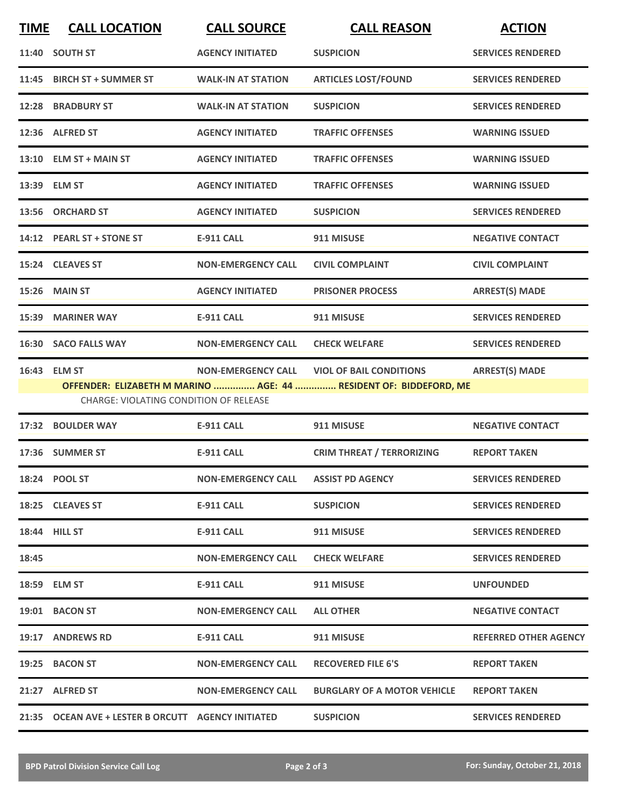| <b>TIME</b> | <b>CALL LOCATION</b>                               | <b>CALL SOURCE</b>        | <b>CALL REASON</b>                                                | <b>ACTION</b>                |
|-------------|----------------------------------------------------|---------------------------|-------------------------------------------------------------------|------------------------------|
|             | 11:40 SOUTH ST                                     | <b>AGENCY INITIATED</b>   | <b>SUSPICION</b>                                                  | <b>SERVICES RENDERED</b>     |
| 11:45       | <b>BIRCH ST + SUMMER ST</b>                        | <b>WALK-IN AT STATION</b> | <b>ARTICLES LOST/FOUND</b>                                        | <b>SERVICES RENDERED</b>     |
|             | 12:28 BRADBURY ST                                  | <b>WALK-IN AT STATION</b> | <b>SUSPICION</b>                                                  | <b>SERVICES RENDERED</b>     |
|             | 12:36 ALFRED ST                                    | <b>AGENCY INITIATED</b>   | <b>TRAFFIC OFFENSES</b>                                           | <b>WARNING ISSUED</b>        |
|             | 13:10 ELM ST + MAIN ST                             | <b>AGENCY INITIATED</b>   | <b>TRAFFIC OFFENSES</b>                                           | <b>WARNING ISSUED</b>        |
|             | 13:39 ELM ST                                       | <b>AGENCY INITIATED</b>   | <b>TRAFFIC OFFENSES</b>                                           | <b>WARNING ISSUED</b>        |
|             | 13:56 ORCHARD ST                                   | <b>AGENCY INITIATED</b>   | <b>SUSPICION</b>                                                  | <b>SERVICES RENDERED</b>     |
|             | 14:12 PEARL ST + STONE ST                          | <b>E-911 CALL</b>         | 911 MISUSE                                                        | <b>NEGATIVE CONTACT</b>      |
|             | 15:24 CLEAVES ST                                   | <b>NON-EMERGENCY CALL</b> | <b>CIVIL COMPLAINT</b>                                            | <b>CIVIL COMPLAINT</b>       |
|             | 15:26 MAIN ST                                      | <b>AGENCY INITIATED</b>   | <b>PRISONER PROCESS</b>                                           | <b>ARREST(S) MADE</b>        |
|             | 15:39 MARINER WAY                                  | <b>E-911 CALL</b>         | 911 MISUSE                                                        | <b>SERVICES RENDERED</b>     |
|             | 16:30 SACO FALLS WAY                               | <b>NON-EMERGENCY CALL</b> | <b>CHECK WELFARE</b>                                              | <b>SERVICES RENDERED</b>     |
|             | 16:43 ELM ST                                       | <b>NON-EMERGENCY CALL</b> | <b>VIOL OF BAIL CONDITIONS</b>                                    | <b>ARREST(S) MADE</b>        |
|             | CHARGE: VIOLATING CONDITION OF RELEASE             |                           | OFFENDER: ELIZABETH M MARINO  AGE: 44  RESIDENT OF: BIDDEFORD, ME |                              |
|             | 17:32 BOULDER WAY                                  | <b>E-911 CALL</b>         | 911 MISUSE                                                        | <b>NEGATIVE CONTACT</b>      |
|             | 17:36 SUMMER ST                                    | <b>E-911 CALL</b>         | <b>CRIM THREAT / TERRORIZING</b>                                  | <b>REPORT TAKEN</b>          |
|             | 18:24 POOL ST                                      | <b>NON-EMERGENCY CALL</b> | <b>ASSIST PD AGENCY</b>                                           | <b>SERVICES RENDERED</b>     |
|             | 18:25 CLEAVES ST                                   | <b>E-911 CALL</b>         | <b>SUSPICION</b>                                                  | <b>SERVICES RENDERED</b>     |
|             | <b>18:44 HILL ST</b>                               | E-911 CALL                | 911 MISUSE                                                        | <b>SERVICES RENDERED</b>     |
| 18:45       |                                                    | <b>NON-EMERGENCY CALL</b> | <b>CHECK WELFARE</b>                                              | <b>SERVICES RENDERED</b>     |
|             | 18:59 ELM ST                                       | E-911 CALL                | 911 MISUSE                                                        | <b>UNFOUNDED</b>             |
|             | 19:01 BACON ST                                     | <b>NON-EMERGENCY CALL</b> | <b>ALL OTHER</b>                                                  | <b>NEGATIVE CONTACT</b>      |
|             | 19:17 ANDREWS RD                                   | E-911 CALL                | 911 MISUSE                                                        | <b>REFERRED OTHER AGENCY</b> |
|             | 19:25 BACON ST                                     | <b>NON-EMERGENCY CALL</b> | <b>RECOVERED FILE 6'S</b>                                         | <b>REPORT TAKEN</b>          |
|             | 21:27 ALFRED ST                                    | <b>NON-EMERGENCY CALL</b> | <b>BURGLARY OF A MOTOR VEHICLE</b>                                | <b>REPORT TAKEN</b>          |
|             | 21:35 OCEAN AVE + LESTER B ORCUTT AGENCY INITIATED |                           | <b>SUSPICION</b>                                                  | <b>SERVICES RENDERED</b>     |